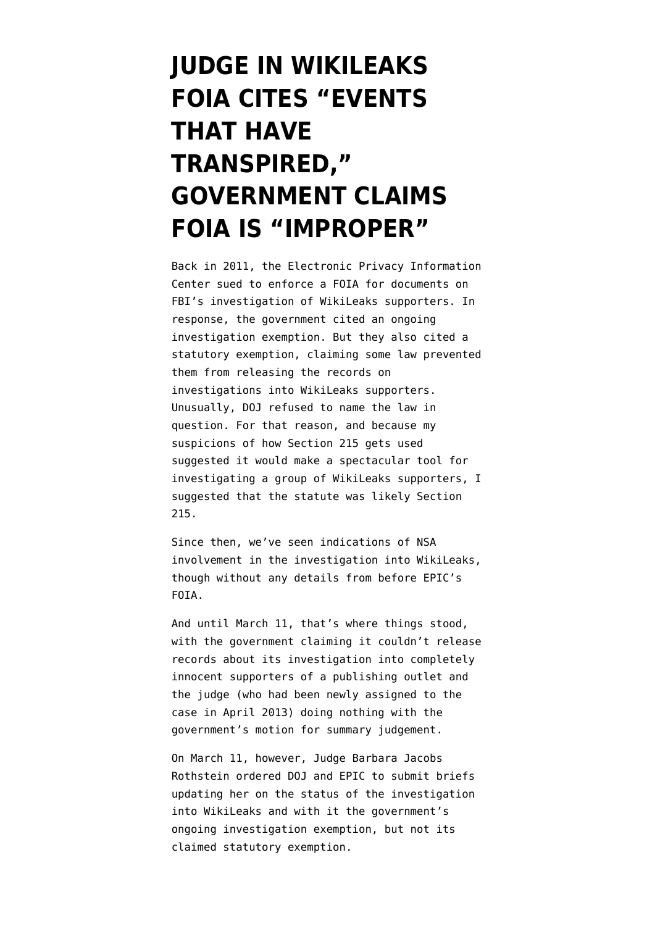## **[JUDGE IN WIKILEAKS](https://www.emptywheel.net/2014/04/10/judge-in-wikileaks-foia-cites-events-that-have-transpired-government-claims-foia-is-improper/) [FOIA CITES "EVENTS](https://www.emptywheel.net/2014/04/10/judge-in-wikileaks-foia-cites-events-that-have-transpired-government-claims-foia-is-improper/) [THAT HAVE](https://www.emptywheel.net/2014/04/10/judge-in-wikileaks-foia-cites-events-that-have-transpired-government-claims-foia-is-improper/) [TRANSPIRED,"](https://www.emptywheel.net/2014/04/10/judge-in-wikileaks-foia-cites-events-that-have-transpired-government-claims-foia-is-improper/) [GOVERNMENT CLAIMS](https://www.emptywheel.net/2014/04/10/judge-in-wikileaks-foia-cites-events-that-have-transpired-government-claims-foia-is-improper/) [FOIA IS "IMPROPER"](https://www.emptywheel.net/2014/04/10/judge-in-wikileaks-foia-cites-events-that-have-transpired-government-claims-foia-is-improper/)**

Back in 2011, the Electronic Privacy Information Center sued to enforce a FOIA for documents on FBI's investigation of WikiLeaks supporters. In response, the government cited an ongoing investigation exemption. But they also cited a statutory exemption, claiming some law prevented them from releasing the records on investigations into WikiLeaks supporters. Unusually, DOJ refused to name the law in question. For that reason, and because my suspicions of how Section 215 gets used suggested it would make a spectacular tool for investigating a group of WikiLeaks supporters, I [suggested](http://www.emptywheel.net/2013/02/01/doj-we-cant-tell-which-secret-application-of-section-215-prevents-us-from-telling-you-how-youre-surveilled/) that the statute was likely Section 215.

Since then, we've seen [indications](http://www.emptywheel.net/2014/02/19/between-two-ends-of-the-wikileaks-investigation-parallel-constructing-the-fbis-secret-authorities/) of NSA involvement in the investigation into WikiLeaks, though without any details from before EPIC's FOIA.

And until March 11, that's where things stood, with the government claiming it couldn't release records about its investigation into completely innocent supporters of a publishing outlet and the judge (who had been newly assigned to the case in April 2013) doing nothing with the government's motion for summary judgement.

On March 11, however, Judge Barbara Jacobs Rothstein ordered DOJ and EPIC to submit briefs updating her on the status of the investigation into WikiLeaks and with it the government's ongoing investigation exemption, but not its claimed statutory exemption.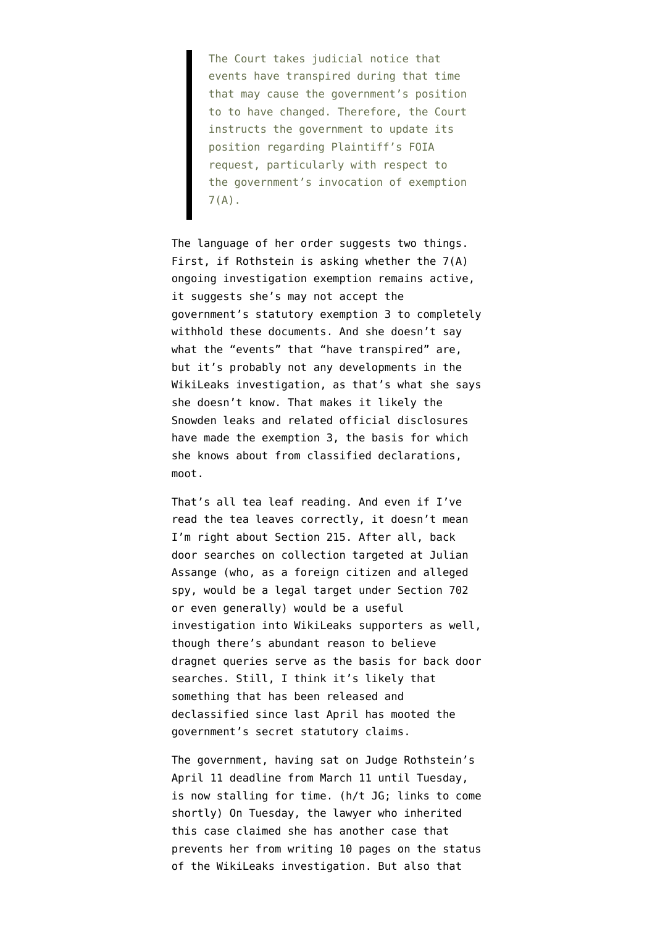The Court takes judicial notice that events have transpired during that time that may cause the government's position to to have changed. Therefore, the Court instructs the government to update its position regarding Plaintiff's FOIA request, particularly with respect to the government's invocation of exemption 7(A).

The language of her order suggests two things. First, if Rothstein is asking whether the 7(A) ongoing investigation exemption remains active, it suggests she's may not accept the government's statutory exemption 3 to completely withhold these documents. And she doesn't say what the "events" that "have transpired" are, but it's probably not any developments in the WikiLeaks investigation, as that's what she says she doesn't know. That makes it likely the Snowden leaks and related official disclosures have made the exemption 3, the basis for which she knows about from classified declarations, moot.

That's all tea leaf reading. And even if I've read the tea leaves correctly, it doesn't mean I'm right about Section 215. After all, back door searches on collection targeted at Julian Assange (who, as a foreign citizen and alleged spy, would be a legal target under Section 702 or even generally) would be a useful investigation into WikiLeaks supporters as well, though there's abundant reason to believe dragnet queries serve as the basis for back door searches. Still, I think it's likely that something that has been released and declassified since last April has mooted the government's secret statutory claims.

The government, having sat on Judge Rothstein's April 11 deadline from March 11 until Tuesday, is now stalling for time. (h/t JG; links to come shortly) On Tuesday, the lawyer who inherited this case claimed she has another case that prevents her from writing 10 pages on the status of the WikiLeaks investigation. But also that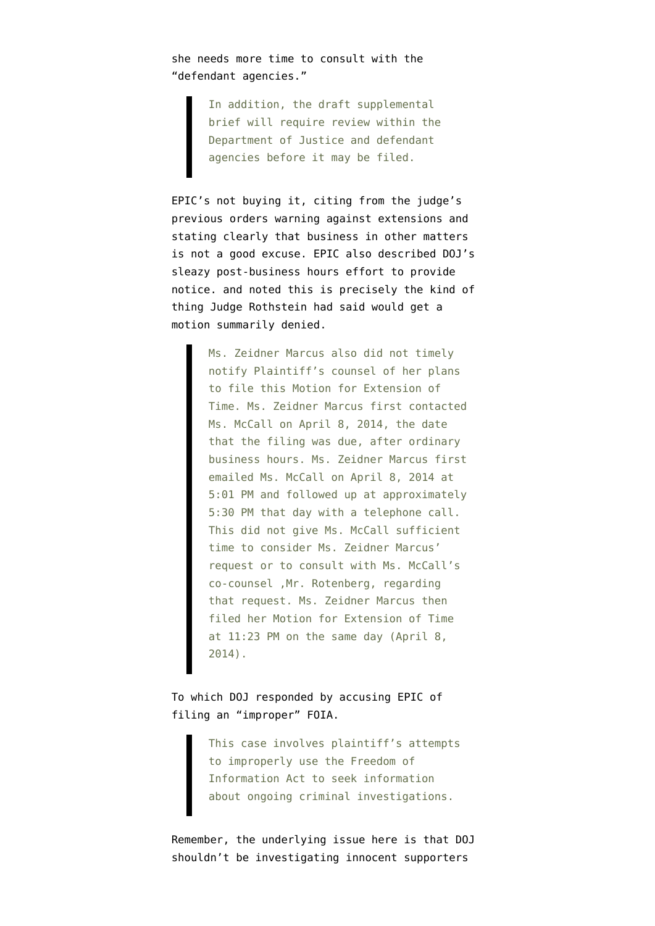she needs more time to consult with the "defendant agencies."

> In addition, the draft supplemental brief will require review within the Department of Justice and defendant agencies before it may be filed.

EPIC's not buying it, citing from the judge's previous orders warning against extensions and stating clearly that business in other matters is not a good excuse. EPIC also described DOJ's sleazy post-business hours effort to provide notice. and noted this is precisely the kind of thing Judge Rothstein had said would get a motion summarily denied.

> Ms. Zeidner Marcus also did not timely notify Plaintiff's counsel of her plans to file this Motion for Extension of Time. Ms. Zeidner Marcus first contacted Ms. McCall on April 8, 2014, the date that the filing was due, after ordinary business hours. Ms. Zeidner Marcus first emailed Ms. McCall on April 8, 2014 at 5:01 PM and followed up at approximately 5:30 PM that day with a telephone call. This did not give Ms. McCall sufficient time to consider Ms. Zeidner Marcus' request or to consult with Ms. McCall's co-counsel ,Mr. Rotenberg, regarding that request. Ms. Zeidner Marcus then filed her Motion for Extension of Time at 11:23 PM on the same day (April 8, 2014).

To which DOJ responded by accusing EPIC of filing an "improper" FOIA.

> This case involves plaintiff's attempts to improperly use the Freedom of Information Act to seek information about ongoing criminal investigations.

Remember, the underlying issue here is that DOJ shouldn't be investigating innocent supporters